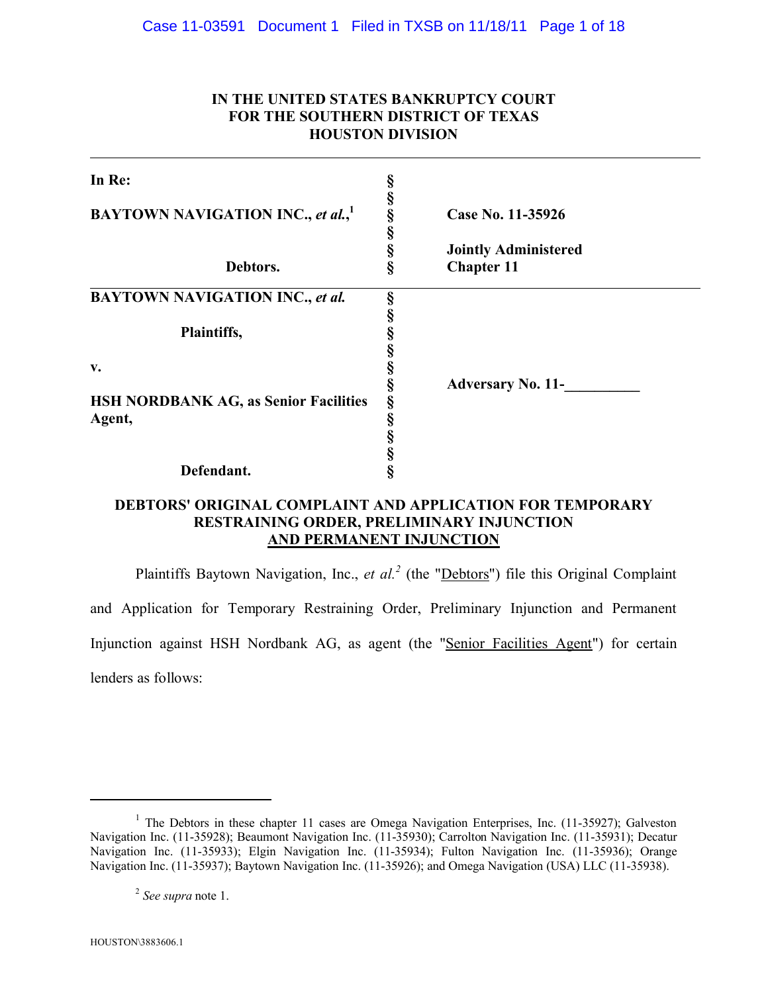## **IN THE UNITED STATES BANKRUPTCY COURT FOR THE SOUTHERN DISTRICT OF TEXAS HOUSTON DIVISION**

| In Re:                                                 | §           |                                                  |
|--------------------------------------------------------|-------------|--------------------------------------------------|
| <b>BAYTOWN NAVIGATION INC., et al.,</b> <sup>1</sup>   | §<br>§      | Case No. 11-35926                                |
| Debtors.                                               | §<br>§<br>Ş | <b>Jointly Administered</b><br><b>Chapter 11</b> |
| <b>BAYTOWN NAVIGATION INC., et al.</b>                 | §           |                                                  |
| Plaintiffs,                                            | §           |                                                  |
| v.                                                     | §<br>Ş      | <b>Adversary No. 11-</b>                         |
| <b>HSH NORDBANK AG, as Senior Facilities</b><br>Agent, | §<br>§      |                                                  |
|                                                        | §<br>§      |                                                  |
| Defendant.                                             | §           |                                                  |

# **DEBTORS' ORIGINAL COMPLAINT AND APPLICATION FOR TEMPORARY RESTRAINING ORDER, PRELIMINARY INJUNCTION AND PERMANENT INJUNCTION**

Plaintiffs Baytown Navigation, Inc., *et al.*<sup>2</sup> (the "Debtors") file this Original Complaint and Application for Temporary Restraining Order, Preliminary Injunction and Permanent Injunction against HSH Nordbank AG, as agent (the "Senior Facilities Agent") for certain lenders as follows:

<sup>&</sup>lt;sup>1</sup> The Debtors in these chapter 11 cases are Omega Navigation Enterprises, Inc. (11-35927); Galveston Navigation Inc. (11-35928); Beaumont Navigation Inc. (11-35930); Carrolton Navigation Inc. (11-35931); Decatur Navigation Inc. (11-35933); Elgin Navigation Inc. (11-35934); Fulton Navigation Inc. (11-35936); Orange Navigation Inc. (11-35937); Baytown Navigation Inc. (11-35926); and Omega Navigation (USA) LLC (11-35938).

<sup>2</sup> *See supra* note 1.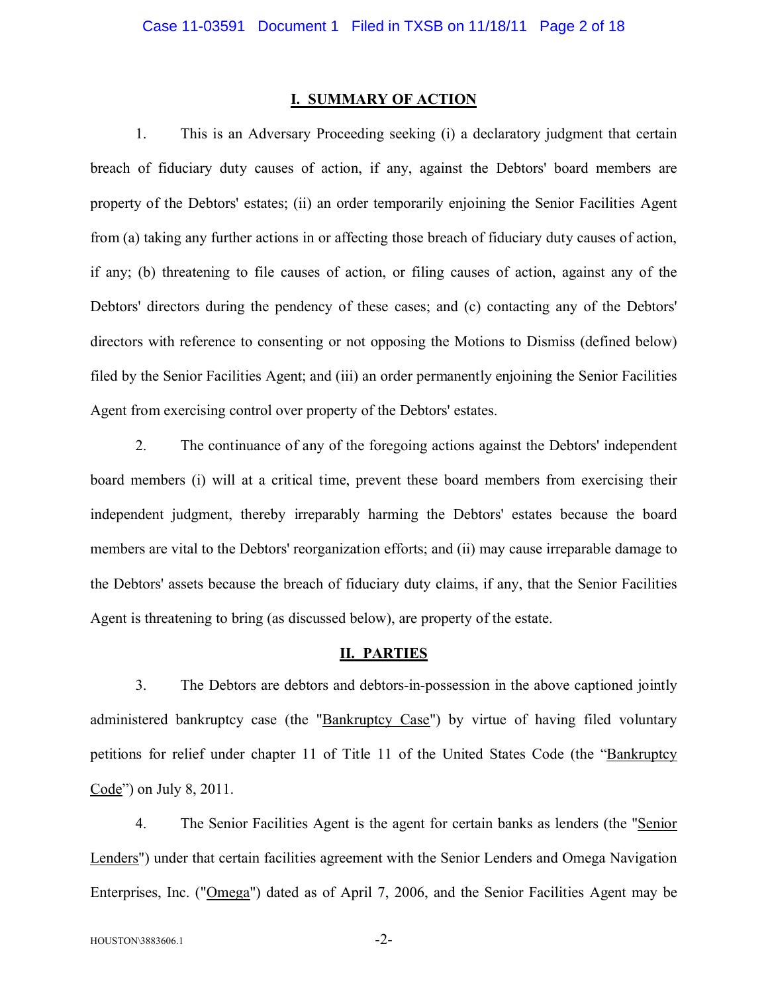#### **I. SUMMARY OF ACTION**

1. This is an Adversary Proceeding seeking (i) a declaratory judgment that certain breach of fiduciary duty causes of action, if any, against the Debtors' board members are property of the Debtors' estates; (ii) an order temporarily enjoining the Senior Facilities Agent from (a) taking any further actions in or affecting those breach of fiduciary duty causes of action, if any; (b) threatening to file causes of action, or filing causes of action, against any of the Debtors' directors during the pendency of these cases; and (c) contacting any of the Debtors' directors with reference to consenting or not opposing the Motions to Dismiss (defined below) filed by the Senior Facilities Agent; and (iii) an order permanently enjoining the Senior Facilities Agent from exercising control over property of the Debtors' estates.

2. The continuance of any of the foregoing actions against the Debtors' independent board members (i) will at a critical time, prevent these board members from exercising their independent judgment, thereby irreparably harming the Debtors' estates because the board members are vital to the Debtors' reorganization efforts; and (ii) may cause irreparable damage to the Debtors' assets because the breach of fiduciary duty claims, if any, that the Senior Facilities Agent is threatening to bring (as discussed below), are property of the estate.

### **II. PARTIES**

3. The Debtors are debtors and debtors-in-possession in the above captioned jointly administered bankruptcy case (the "Bankruptcy Case") by virtue of having filed voluntary petitions for relief under chapter 11 of Title 11 of the United States Code (the "Bankruptcy Code") on July 8, 2011.

4. The Senior Facilities Agent is the agent for certain banks as lenders (the "Senior Lenders") under that certain facilities agreement with the Senior Lenders and Omega Navigation Enterprises, Inc. ("Omega") dated as of April 7, 2006, and the Senior Facilities Agent may be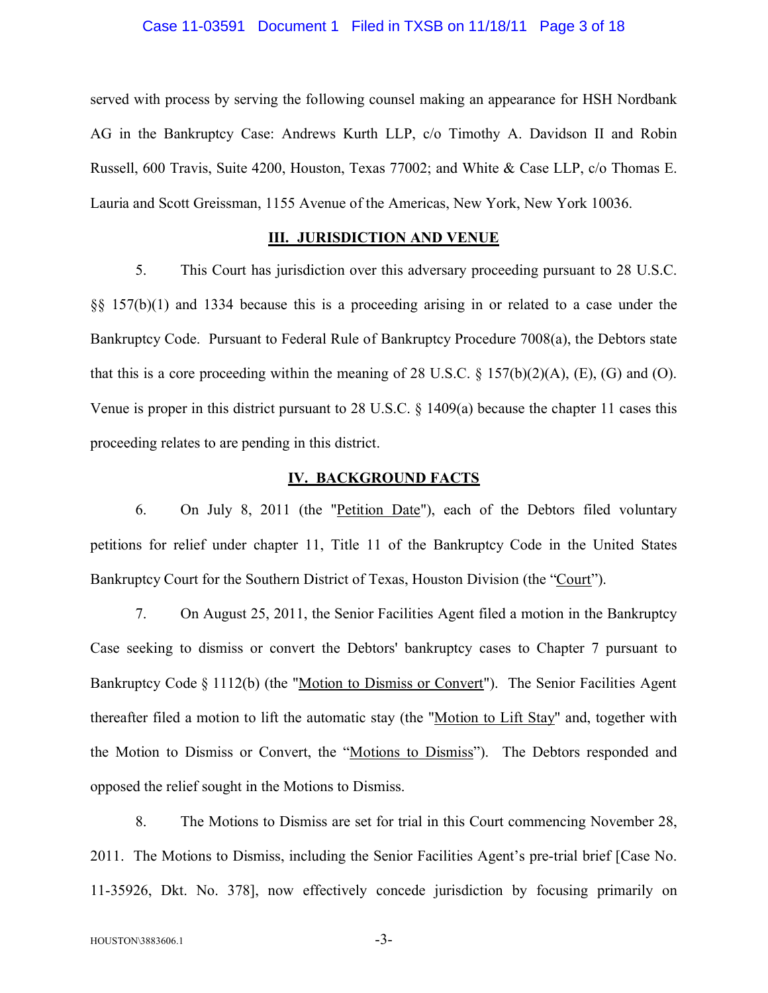### Case 11-03591 Document 1 Filed in TXSB on 11/18/11 Page 3 of 18

served with process by serving the following counsel making an appearance for HSH Nordbank AG in the Bankruptcy Case: Andrews Kurth LLP, c/o Timothy A. Davidson II and Robin Russell, 600 Travis, Suite 4200, Houston, Texas 77002; and White & Case LLP, c/o Thomas E. Lauria and Scott Greissman, 1155 Avenue of the Americas, New York, New York 10036.

### **III. JURISDICTION AND VENUE**

5. This Court has jurisdiction over this adversary proceeding pursuant to 28 U.S.C. §§ 157(b)(1) and 1334 because this is a proceeding arising in or related to a case under the Bankruptcy Code. Pursuant to Federal Rule of Bankruptcy Procedure 7008(a), the Debtors state that this is a core proceeding within the meaning of 28 U.S.C.  $\S$  157(b)(2)(A), (E), (G) and (O). Venue is proper in this district pursuant to 28 U.S.C. § 1409(a) because the chapter 11 cases this proceeding relates to are pending in this district.

### **IV. BACKGROUND FACTS**

6. On July 8, 2011 (the "Petition Date"), each of the Debtors filed voluntary petitions for relief under chapter 11, Title 11 of the Bankruptcy Code in the United States Bankruptcy Court for the Southern District of Texas, Houston Division (the "Court").

7. On August 25, 2011, the Senior Facilities Agent filed a motion in the Bankruptcy Case seeking to dismiss or convert the Debtors' bankruptcy cases to Chapter 7 pursuant to Bankruptcy Code § 1112(b) (the "Motion to Dismiss or Convert"). The Senior Facilities Agent thereafter filed a motion to lift the automatic stay (the "Motion to Lift Stay" and, together with the Motion to Dismiss or Convert, the "Motions to Dismiss"). The Debtors responded and opposed the relief sought in the Motions to Dismiss.

8. The Motions to Dismiss are set for trial in this Court commencing November 28, 2011. The Motions to Dismiss, including the Senior Facilities Agent's pre-trial brief [Case No. 11-35926, Dkt. No. 378], now effectively concede jurisdiction by focusing primarily on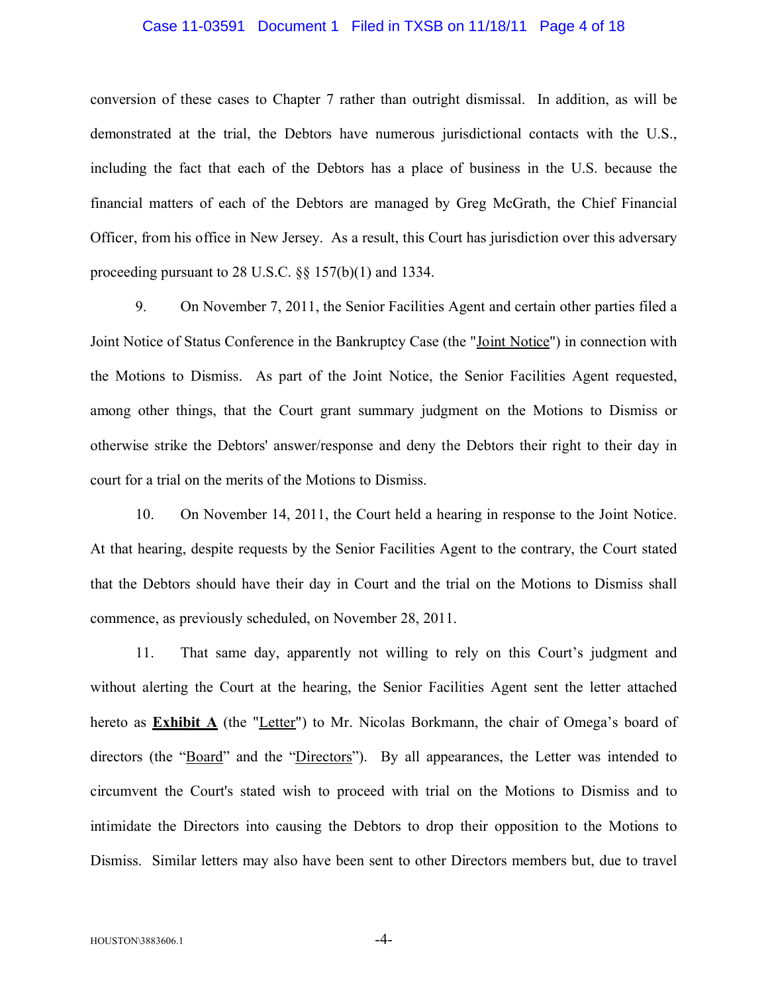### Case 11-03591 Document 1 Filed in TXSB on 11/18/11 Page 4 of 18

conversion of these cases to Chapter 7 rather than outright dismissal. In addition, as will be demonstrated at the trial, the Debtors have numerous jurisdictional contacts with the U.S., including the fact that each of the Debtors has a place of business in the U.S. because the financial matters of each of the Debtors are managed by Greg McGrath, the Chief Financial Officer, from his office in New Jersey. As a result, this Court has jurisdiction over this adversary proceeding pursuant to 28 U.S.C. §§ 157(b)(1) and 1334.

9. On November 7, 2011, the Senior Facilities Agent and certain other parties filed a Joint Notice of Status Conference in the Bankruptcy Case (the "Joint Notice") in connection with the Motions to Dismiss. As part of the Joint Notice, the Senior Facilities Agent requested, among other things, that the Court grant summary judgment on the Motions to Dismiss or otherwise strike the Debtors' answer/response and deny the Debtors their right to their day in court for a trial on the merits of the Motions to Dismiss.

10. On November 14, 2011, the Court held a hearing in response to the Joint Notice. At that hearing, despite requests by the Senior Facilities Agent to the contrary, the Court stated that the Debtors should have their day in Court and the trial on the Motions to Dismiss shall commence, as previously scheduled, on November 28, 2011.

11. That same day, apparently not willing to rely on this Court's judgment and without alerting the Court at the hearing, the Senior Facilities Agent sent the letter attached hereto as **Exhibit A** (the "Letter") to Mr. Nicolas Borkmann, the chair of Omega's board of directors (the "<u>Board</u>" and the "Directors"). By all appearances, the Letter was intended to circumvent the Court's stated wish to proceed with trial on the Motions to Dismiss and to intimidate the Directors into causing the Debtors to drop their opposition to the Motions to Dismiss. Similar letters may also have been sent to other Directors members but, due to travel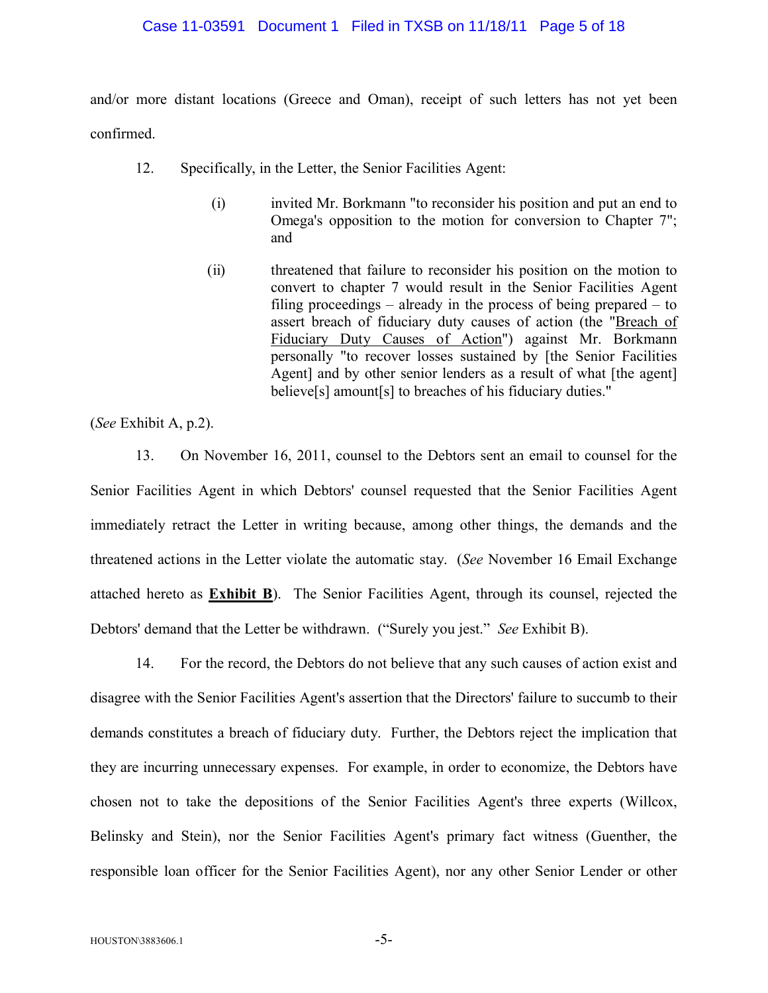### Case 11-03591 Document 1 Filed in TXSB on 11/18/11 Page 5 of 18

and/or more distant locations (Greece and Oman), receipt of such letters has not yet been confirmed.

- 12. Specifically, in the Letter, the Senior Facilities Agent:
	- (i) invited Mr. Borkmann "to reconsider his position and put an end to Omega's opposition to the motion for conversion to Chapter 7"; and
	- (ii) threatened that failure to reconsider his position on the motion to convert to chapter 7 would result in the Senior Facilities Agent filing proceedings – already in the process of being prepared – to assert breach of fiduciary duty causes of action (the "Breach of Fiduciary Duty Causes of Action") against Mr. Borkmann personally "to recover losses sustained by [the Senior Facilities Agent] and by other senior lenders as a result of what [the agent] believe[s] amount[s] to breaches of his fiduciary duties."

(*See* Exhibit A, p.2).

13. On November 16, 2011, counsel to the Debtors sent an email to counsel for the Senior Facilities Agent in which Debtors' counsel requested that the Senior Facilities Agent immediately retract the Letter in writing because, among other things, the demands and the threatened actions in the Letter violate the automatic stay. (*See* November 16 Email Exchange attached hereto as **Exhibit B**). The Senior Facilities Agent, through its counsel, rejected the Debtors' demand that the Letter be withdrawn. ("Surely you jest." *See* Exhibit B).

14. For the record, the Debtors do not believe that any such causes of action exist and disagree with the Senior Facilities Agent's assertion that the Directors' failure to succumb to their demands constitutes a breach of fiduciary duty. Further, the Debtors reject the implication that they are incurring unnecessary expenses. For example, in order to economize, the Debtors have chosen not to take the depositions of the Senior Facilities Agent's three experts (Willcox, Belinsky and Stein), nor the Senior Facilities Agent's primary fact witness (Guenther, the responsible loan officer for the Senior Facilities Agent), nor any other Senior Lender or other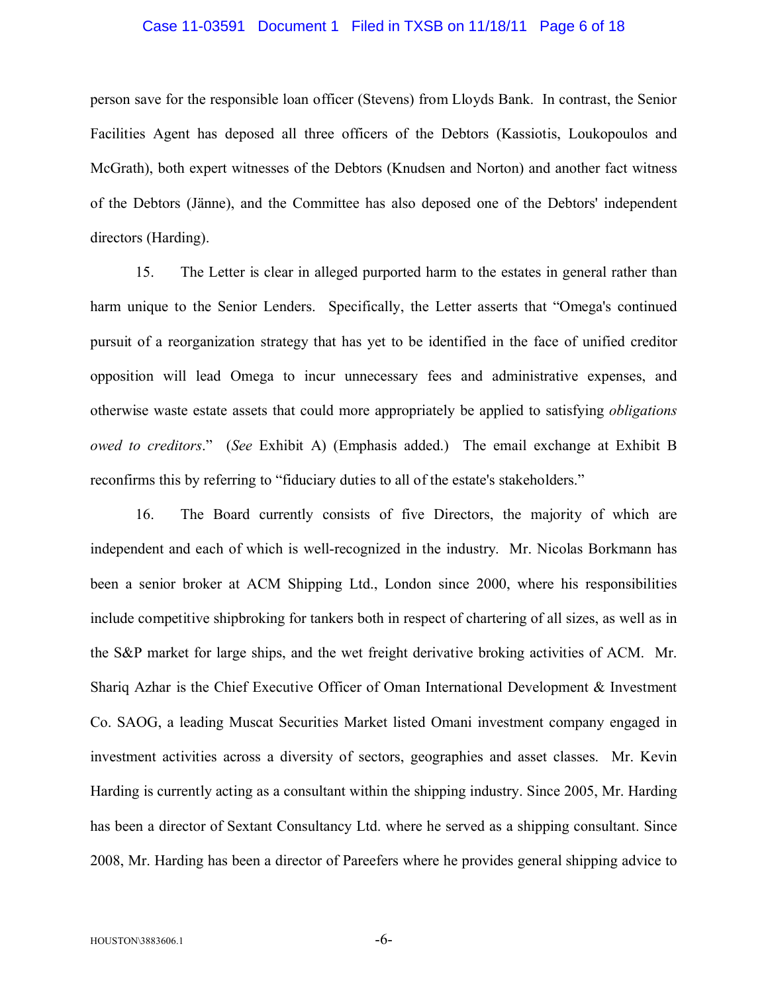### Case 11-03591 Document 1 Filed in TXSB on 11/18/11 Page 6 of 18

person save for the responsible loan officer (Stevens) from Lloyds Bank. In contrast, the Senior Facilities Agent has deposed all three officers of the Debtors (Kassiotis, Loukopoulos and McGrath), both expert witnesses of the Debtors (Knudsen and Norton) and another fact witness of the Debtors (Jänne), and the Committee has also deposed one of the Debtors' independent directors (Harding).

15. The Letter is clear in alleged purported harm to the estates in general rather than harm unique to the Senior Lenders. Specifically, the Letter asserts that "Omega's continued pursuit of a reorganization strategy that has yet to be identified in the face of unified creditor opposition will lead Omega to incur unnecessary fees and administrative expenses, and otherwise waste estate assets that could more appropriately be applied to satisfying *obligations owed to creditors*." (*See* Exhibit A) (Emphasis added.) The email exchange at Exhibit B reconfirms this by referring to "fiduciary duties to all of the estate's stakeholders."

16. The Board currently consists of five Directors, the majority of which are independent and each of which is well-recognized in the industry. Mr. Nicolas Borkmann has been a senior broker at ACM Shipping Ltd., London since 2000, where his responsibilities include competitive shipbroking for tankers both in respect of chartering of all sizes, as well as in the S&P market for large ships, and the wet freight derivative broking activities of ACM. Mr. Shariq Azhar is the Chief Executive Officer of Oman International Development & Investment Co. SAOG, a leading Muscat Securities Market listed Omani investment company engaged in investment activities across a diversity of sectors, geographies and asset classes. Mr. Kevin Harding is currently acting as a consultant within the shipping industry. Since 2005, Mr. Harding has been a director of Sextant Consultancy Ltd. where he served as a shipping consultant. Since 2008, Mr. Harding has been a director of Pareefers where he provides general shipping advice to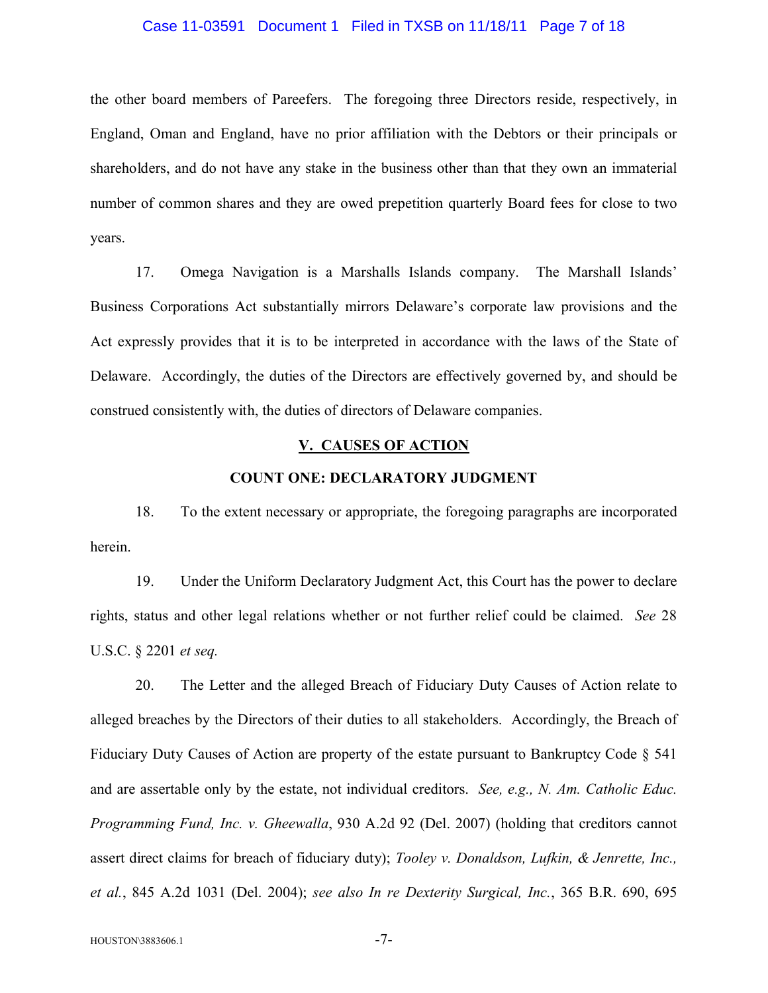### Case 11-03591 Document 1 Filed in TXSB on 11/18/11 Page 7 of 18

the other board members of Pareefers. The foregoing three Directors reside, respectively, in England, Oman and England, have no prior affiliation with the Debtors or their principals or shareholders, and do not have any stake in the business other than that they own an immaterial number of common shares and they are owed prepetition quarterly Board fees for close to two years.

17. Omega Navigation is a Marshalls Islands company. The Marshall Islands' Business Corporations Act substantially mirrors Delaware's corporate law provisions and the Act expressly provides that it is to be interpreted in accordance with the laws of the State of Delaware. Accordingly, the duties of the Directors are effectively governed by, and should be construed consistently with, the duties of directors of Delaware companies.

### **V. CAUSES OF ACTION**

### **COUNT ONE: DECLARATORY JUDGMENT**

18. To the extent necessary or appropriate, the foregoing paragraphs are incorporated herein.

19. Under the Uniform Declaratory Judgment Act, this Court has the power to declare rights, status and other legal relations whether or not further relief could be claimed. *See* 28 U.S.C. § 2201 *et seq.*

20. The Letter and the alleged Breach of Fiduciary Duty Causes of Action relate to alleged breaches by the Directors of their duties to all stakeholders. Accordingly, the Breach of Fiduciary Duty Causes of Action are property of the estate pursuant to Bankruptcy Code § 541 and are assertable only by the estate, not individual creditors. *See, e.g., N. Am. Catholic Educ. Programming Fund, Inc. v. Gheewalla*, 930 A.2d 92 (Del. 2007) (holding that creditors cannot assert direct claims for breach of fiduciary duty); *Tooley v. Donaldson, Lufkin, & Jenrette, Inc., et al.*, 845 A.2d 1031 (Del. 2004); *see also In re Dexterity Surgical, Inc.*, 365 B.R. 690, 695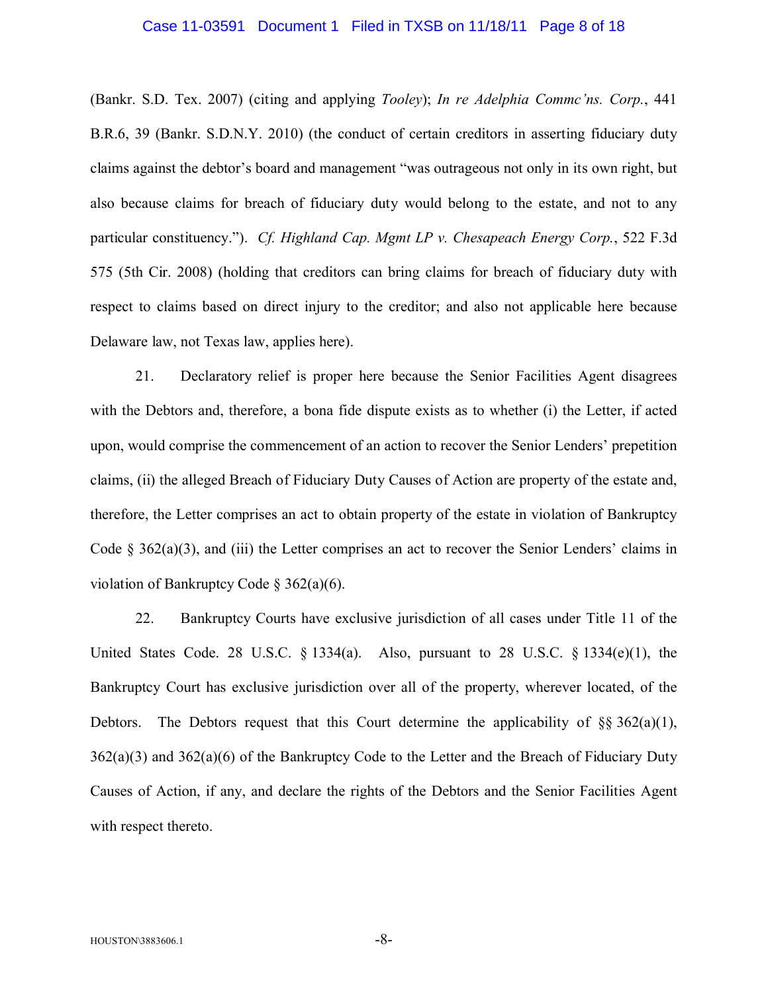### Case 11-03591 Document 1 Filed in TXSB on 11/18/11 Page 8 of 18

(Bankr. S.D. Tex. 2007) (citing and applying *Tooley*); *In re Adelphia Commc'ns. Corp.*, 441 B.R.6, 39 (Bankr. S.D.N.Y. 2010) (the conduct of certain creditors in asserting fiduciary duty claims against the debtor's board and management "was outrageous not only in its own right, but also because claims for breach of fiduciary duty would belong to the estate, and not to any particular constituency."). *Cf. Highland Cap. Mgmt LP v. Chesapeach Energy Corp.*, 522 F.3d 575 (5th Cir. 2008) (holding that creditors can bring claims for breach of fiduciary duty with respect to claims based on direct injury to the creditor; and also not applicable here because Delaware law, not Texas law, applies here).

21. Declaratory relief is proper here because the Senior Facilities Agent disagrees with the Debtors and, therefore, a bona fide dispute exists as to whether (i) the Letter, if acted upon, would comprise the commencement of an action to recover the Senior Lenders' prepetition claims, (ii) the alleged Breach of Fiduciary Duty Causes of Action are property of the estate and, therefore, the Letter comprises an act to obtain property of the estate in violation of Bankruptcy Code  $\S$  362(a)(3), and (iii) the Letter comprises an act to recover the Senior Lenders' claims in violation of Bankruptcy Code § 362(a)(6).

22. Bankruptcy Courts have exclusive jurisdiction of all cases under Title 11 of the United States Code. 28 U.S.C.  $\S$  1334(a). Also, pursuant to 28 U.S.C.  $\S$  1334(e)(1), the Bankruptcy Court has exclusive jurisdiction over all of the property, wherever located, of the Debtors. The Debtors request that this Court determine the applicability of  $\S$ § 362(a)(1),  $362(a)(3)$  and  $362(a)(6)$  of the Bankruptcy Code to the Letter and the Breach of Fiduciary Duty Causes of Action, if any, and declare the rights of the Debtors and the Senior Facilities Agent with respect thereto.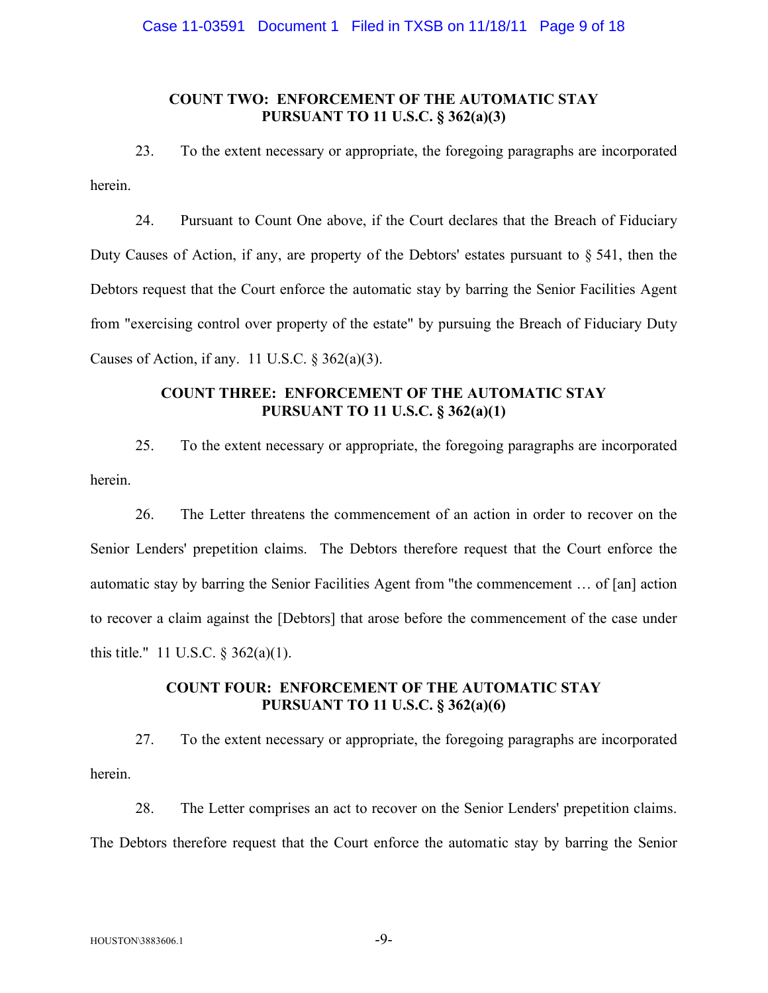## **COUNT TWO: ENFORCEMENT OF THE AUTOMATIC STAY PURSUANT TO 11 U.S.C. § 362(a)(3)**

23. To the extent necessary or appropriate, the foregoing paragraphs are incorporated herein.

24. Pursuant to Count One above, if the Court declares that the Breach of Fiduciary Duty Causes of Action, if any, are property of the Debtors' estates pursuant to § 541, then the Debtors request that the Court enforce the automatic stay by barring the Senior Facilities Agent from "exercising control over property of the estate" by pursuing the Breach of Fiduciary Duty Causes of Action, if any. 11 U.S.C.  $\S 362(a)(3)$ .

# **COUNT THREE: ENFORCEMENT OF THE AUTOMATIC STAY PURSUANT TO 11 U.S.C. § 362(a)(1)**

25. To the extent necessary or appropriate, the foregoing paragraphs are incorporated herein.

26. The Letter threatens the commencement of an action in order to recover on the Senior Lenders' prepetition claims. The Debtors therefore request that the Court enforce the automatic stay by barring the Senior Facilities Agent from "the commencement … of [an] action to recover a claim against the [Debtors] that arose before the commencement of the case under this title." 11 U.S.C. § 362(a)(1).

### **COUNT FOUR: ENFORCEMENT OF THE AUTOMATIC STAY PURSUANT TO 11 U.S.C. § 362(a)(6)**

27. To the extent necessary or appropriate, the foregoing paragraphs are incorporated herein.

28. The Letter comprises an act to recover on the Senior Lenders' prepetition claims. The Debtors therefore request that the Court enforce the automatic stay by barring the Senior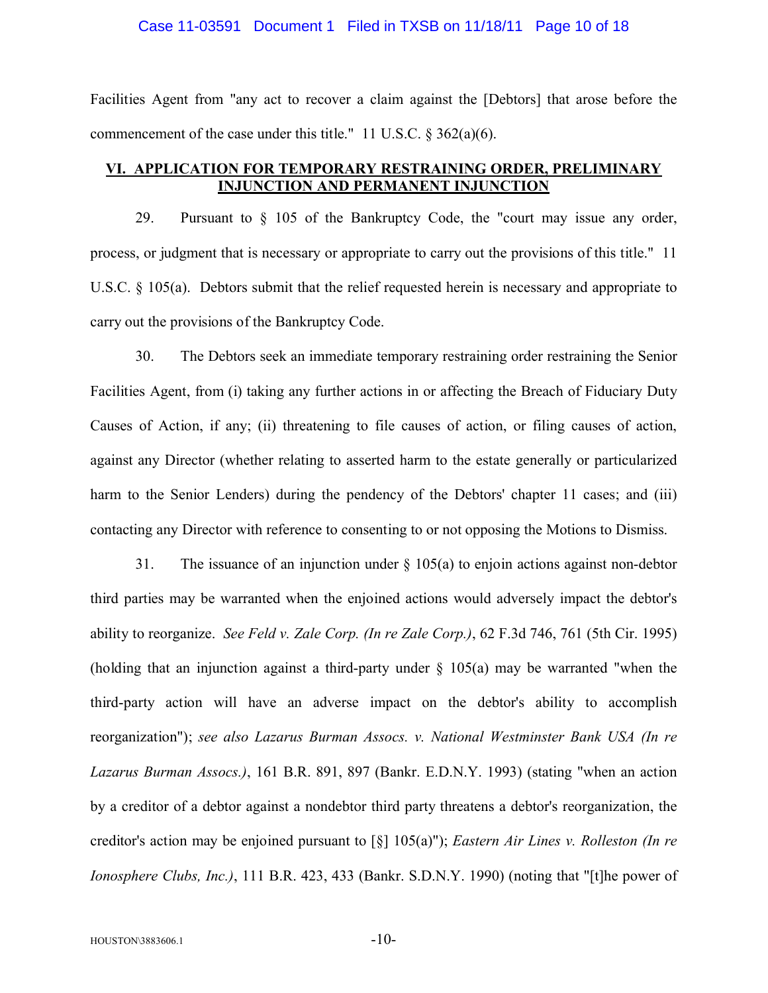### Case 11-03591 Document 1 Filed in TXSB on 11/18/11 Page 10 of 18

Facilities Agent from "any act to recover a claim against the [Debtors] that arose before the commencement of the case under this title." 11 U.S.C. § 362(a)(6).

## **VI. APPLICATION FOR TEMPORARY RESTRAINING ORDER, PRELIMINARY INJUNCTION AND PERMANENT INJUNCTION**

29. Pursuant to § 105 of the Bankruptcy Code, the "court may issue any order, process, or judgment that is necessary or appropriate to carry out the provisions of this title." 11 U.S.C. § 105(a). Debtors submit that the relief requested herein is necessary and appropriate to carry out the provisions of the Bankruptcy Code.

30. The Debtors seek an immediate temporary restraining order restraining the Senior Facilities Agent, from (i) taking any further actions in or affecting the Breach of Fiduciary Duty Causes of Action, if any; (ii) threatening to file causes of action, or filing causes of action, against any Director (whether relating to asserted harm to the estate generally or particularized harm to the Senior Lenders) during the pendency of the Debtors' chapter 11 cases; and (iii) contacting any Director with reference to consenting to or not opposing the Motions to Dismiss.

31. The issuance of an injunction under  $\S$  105(a) to enjoin actions against non-debtor third parties may be warranted when the enjoined actions would adversely impact the debtor's ability to reorganize. *See Feld v. Zale Corp. (In re Zale Corp.)*, 62 F.3d 746, 761 (5th Cir. 1995) (holding that an injunction against a third-party under § 105(a) may be warranted "when the third-party action will have an adverse impact on the debtor's ability to accomplish reorganization"); *see also Lazarus Burman Assocs. v. National Westminster Bank USA (In re Lazarus Burman Assocs.)*, 161 B.R. 891, 897 (Bankr. E.D.N.Y. 1993) (stating "when an action by a creditor of a debtor against a nondebtor third party threatens a debtor's reorganization, the creditor's action may be enjoined pursuant to [§] 105(a)"); *Eastern Air Lines v. Rolleston (In re Ionosphere Clubs, Inc.)*, 111 B.R. 423, 433 (Bankr. S.D.N.Y. 1990) (noting that "[t]he power of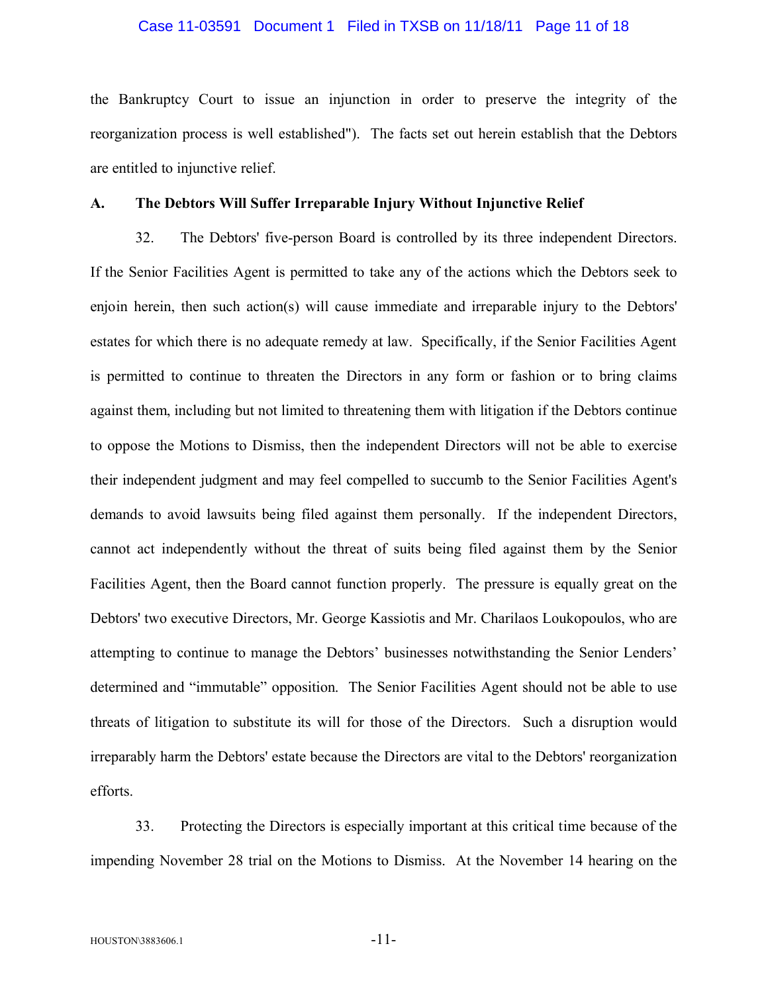### Case 11-03591 Document 1 Filed in TXSB on 11/18/11 Page 11 of 18

the Bankruptcy Court to issue an injunction in order to preserve the integrity of the reorganization process is well established"). The facts set out herein establish that the Debtors are entitled to injunctive relief.

### **A. The Debtors Will Suffer Irreparable Injury Without Injunctive Relief**

32. The Debtors' five-person Board is controlled by its three independent Directors. If the Senior Facilities Agent is permitted to take any of the actions which the Debtors seek to enjoin herein, then such action(s) will cause immediate and irreparable injury to the Debtors' estates for which there is no adequate remedy at law. Specifically, if the Senior Facilities Agent is permitted to continue to threaten the Directors in any form or fashion or to bring claims against them, including but not limited to threatening them with litigation if the Debtors continue to oppose the Motions to Dismiss, then the independent Directors will not be able to exercise their independent judgment and may feel compelled to succumb to the Senior Facilities Agent's demands to avoid lawsuits being filed against them personally. If the independent Directors, cannot act independently without the threat of suits being filed against them by the Senior Facilities Agent, then the Board cannot function properly. The pressure is equally great on the Debtors' two executive Directors, Mr. George Kassiotis and Mr. Charilaos Loukopoulos, who are attempting to continue to manage the Debtors' businesses notwithstanding the Senior Lenders' determined and "immutable" opposition. The Senior Facilities Agent should not be able to use threats of litigation to substitute its will for those of the Directors. Such a disruption would irreparably harm the Debtors' estate because the Directors are vital to the Debtors' reorganization efforts.

33. Protecting the Directors is especially important at this critical time because of the impending November 28 trial on the Motions to Dismiss. At the November 14 hearing on the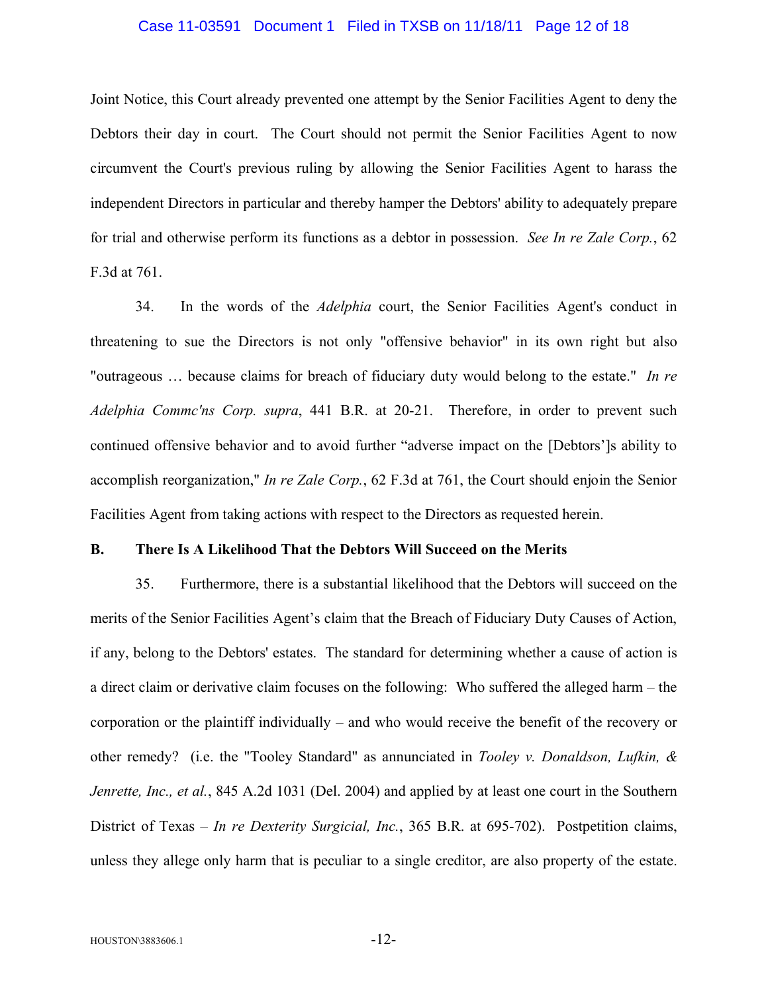### Case 11-03591 Document 1 Filed in TXSB on 11/18/11 Page 12 of 18

Joint Notice, this Court already prevented one attempt by the Senior Facilities Agent to deny the Debtors their day in court. The Court should not permit the Senior Facilities Agent to now circumvent the Court's previous ruling by allowing the Senior Facilities Agent to harass the independent Directors in particular and thereby hamper the Debtors' ability to adequately prepare for trial and otherwise perform its functions as a debtor in possession. *See In re Zale Corp.*, 62 F.3d at 761.

34. In the words of the *Adelphia* court, the Senior Facilities Agent's conduct in threatening to sue the Directors is not only "offensive behavior" in its own right but also "outrageous … because claims for breach of fiduciary duty would belong to the estate." *In re Adelphia Commc'ns Corp. supra*, 441 B.R. at 20-21. Therefore, in order to prevent such continued offensive behavior and to avoid further "adverse impact on the [Debtors']s ability to accomplish reorganization," *In re Zale Corp.*, 62 F.3d at 761, the Court should enjoin the Senior Facilities Agent from taking actions with respect to the Directors as requested herein.

### **B. There Is A Likelihood That the Debtors Will Succeed on the Merits**

35. Furthermore, there is a substantial likelihood that the Debtors will succeed on the merits of the Senior Facilities Agent's claim that the Breach of Fiduciary Duty Causes of Action, if any, belong to the Debtors' estates. The standard for determining whether a cause of action is a direct claim or derivative claim focuses on the following: Who suffered the alleged harm – the corporation or the plaintiff individually – and who would receive the benefit of the recovery or other remedy? (i.e. the "Tooley Standard" as annunciated in *Tooley v. Donaldson, Lufkin, & Jenrette, Inc., et al.*, 845 A.2d 1031 (Del. 2004) and applied by at least one court in the Southern District of Texas – *In re Dexterity Surgicial, Inc.*, 365 B.R. at 695-702). Postpetition claims, unless they allege only harm that is peculiar to a single creditor, are also property of the estate.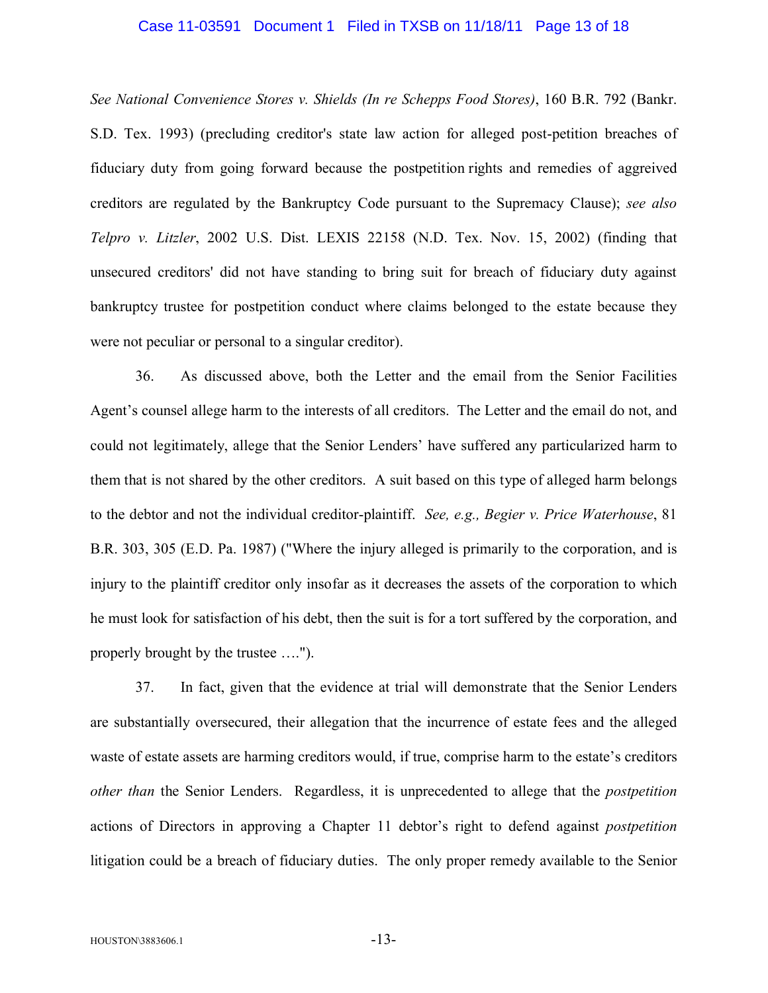### Case 11-03591 Document 1 Filed in TXSB on 11/18/11 Page 13 of 18

*See National Convenience Stores v. Shields (In re Schepps Food Stores)*, 160 B.R. 792 (Bankr. S.D. Tex. 1993) (precluding creditor's state law action for alleged post-petition breaches of fiduciary duty from going forward because the postpetition rights and remedies of aggreived creditors are regulated by the Bankruptcy Code pursuant to the Supremacy Clause); *see also Telpro v. Litzler*, 2002 U.S. Dist. LEXIS 22158 (N.D. Tex. Nov. 15, 2002) (finding that unsecured creditors' did not have standing to bring suit for breach of fiduciary duty against bankruptcy trustee for postpetition conduct where claims belonged to the estate because they were not peculiar or personal to a singular creditor).

36. As discussed above, both the Letter and the email from the Senior Facilities Agent's counsel allege harm to the interests of all creditors. The Letter and the email do not, and could not legitimately, allege that the Senior Lenders' have suffered any particularized harm to them that is not shared by the other creditors. A suit based on this type of alleged harm belongs to the debtor and not the individual creditor-plaintiff. *See, e.g., Begier v. Price Waterhouse*, 81 B.R. 303, 305 (E.D. Pa. 1987) ("Where the injury alleged is primarily to the corporation, and is injury to the plaintiff creditor only insofar as it decreases the assets of the corporation to which he must look for satisfaction of his debt, then the suit is for a tort suffered by the corporation, and properly brought by the trustee ….").

37. In fact, given that the evidence at trial will demonstrate that the Senior Lenders are substantially oversecured, their allegation that the incurrence of estate fees and the alleged waste of estate assets are harming creditors would, if true, comprise harm to the estate's creditors *other than* the Senior Lenders. Regardless, it is unprecedented to allege that the *postpetition*  actions of Directors in approving a Chapter 11 debtor's right to defend against *postpetition* litigation could be a breach of fiduciary duties. The only proper remedy available to the Senior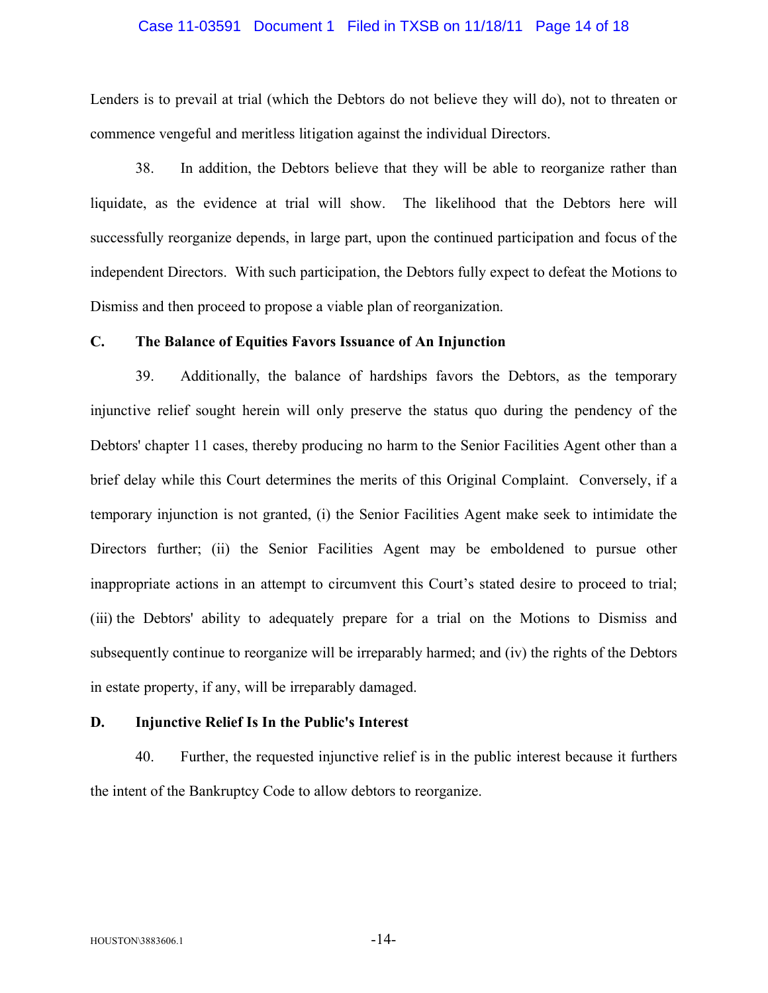### Case 11-03591 Document 1 Filed in TXSB on 11/18/11 Page 14 of 18

Lenders is to prevail at trial (which the Debtors do not believe they will do), not to threaten or commence vengeful and meritless litigation against the individual Directors.

38. In addition, the Debtors believe that they will be able to reorganize rather than liquidate, as the evidence at trial will show. The likelihood that the Debtors here will successfully reorganize depends, in large part, upon the continued participation and focus of the independent Directors. With such participation, the Debtors fully expect to defeat the Motions to Dismiss and then proceed to propose a viable plan of reorganization.

### **C. The Balance of Equities Favors Issuance of An Injunction**

39. Additionally, the balance of hardships favors the Debtors, as the temporary injunctive relief sought herein will only preserve the status quo during the pendency of the Debtors' chapter 11 cases, thereby producing no harm to the Senior Facilities Agent other than a brief delay while this Court determines the merits of this Original Complaint. Conversely, if a temporary injunction is not granted, (i) the Senior Facilities Agent make seek to intimidate the Directors further; (ii) the Senior Facilities Agent may be emboldened to pursue other inappropriate actions in an attempt to circumvent this Court's stated desire to proceed to trial; (iii) the Debtors' ability to adequately prepare for a trial on the Motions to Dismiss and subsequently continue to reorganize will be irreparably harmed; and (iv) the rights of the Debtors in estate property, if any, will be irreparably damaged.

### **D. Injunctive Relief Is In the Public's Interest**

40. Further, the requested injunctive relief is in the public interest because it furthers the intent of the Bankruptcy Code to allow debtors to reorganize.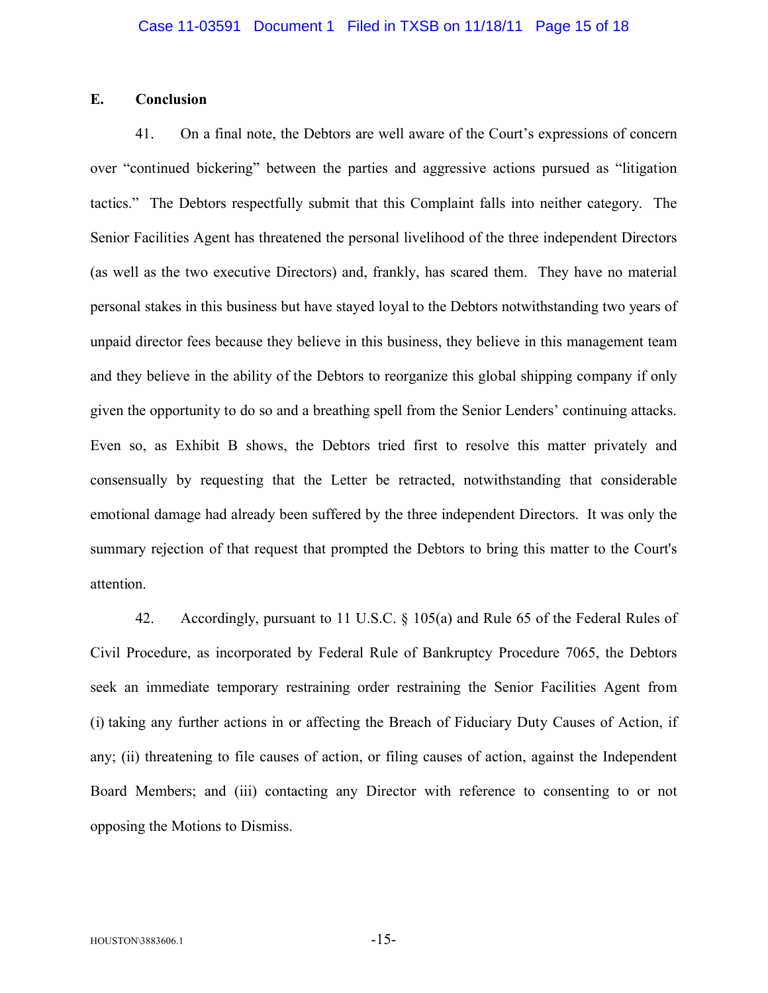### **E. Conclusion**

41. On a final note, the Debtors are well aware of the Court's expressions of concern over "continued bickering" between the parties and aggressive actions pursued as "litigation tactics." The Debtors respectfully submit that this Complaint falls into neither category. The Senior Facilities Agent has threatened the personal livelihood of the three independent Directors (as well as the two executive Directors) and, frankly, has scared them. They have no material personal stakes in this business but have stayed loyal to the Debtors notwithstanding two years of unpaid director fees because they believe in this business, they believe in this management team and they believe in the ability of the Debtors to reorganize this global shipping company if only given the opportunity to do so and a breathing spell from the Senior Lenders' continuing attacks. Even so, as Exhibit B shows, the Debtors tried first to resolve this matter privately and consensually by requesting that the Letter be retracted, notwithstanding that considerable emotional damage had already been suffered by the three independent Directors. It was only the summary rejection of that request that prompted the Debtors to bring this matter to the Court's attention.

42. Accordingly, pursuant to 11 U.S.C. § 105(a) and Rule 65 of the Federal Rules of Civil Procedure, as incorporated by Federal Rule of Bankruptcy Procedure 7065, the Debtors seek an immediate temporary restraining order restraining the Senior Facilities Agent from (i) taking any further actions in or affecting the Breach of Fiduciary Duty Causes of Action, if any; (ii) threatening to file causes of action, or filing causes of action, against the Independent Board Members; and (iii) contacting any Director with reference to consenting to or not opposing the Motions to Dismiss.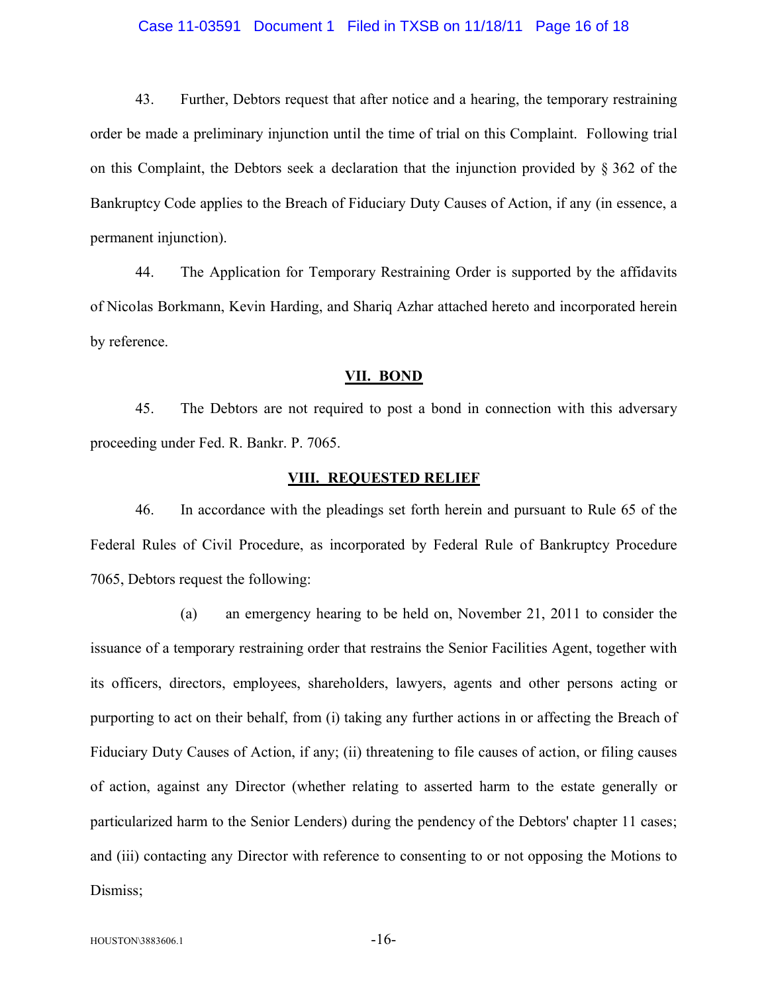### Case 11-03591 Document 1 Filed in TXSB on 11/18/11 Page 16 of 18

43. Further, Debtors request that after notice and a hearing, the temporary restraining order be made a preliminary injunction until the time of trial on this Complaint. Following trial on this Complaint, the Debtors seek a declaration that the injunction provided by § 362 of the Bankruptcy Code applies to the Breach of Fiduciary Duty Causes of Action, if any (in essence, a permanent injunction).

44. The Application for Temporary Restraining Order is supported by the affidavits of Nicolas Borkmann, Kevin Harding, and Shariq Azhar attached hereto and incorporated herein by reference.

#### **VII. BOND**

45. The Debtors are not required to post a bond in connection with this adversary proceeding under Fed. R. Bankr. P. 7065.

#### **VIII. REQUESTED RELIEF**

46. In accordance with the pleadings set forth herein and pursuant to Rule 65 of the Federal Rules of Civil Procedure, as incorporated by Federal Rule of Bankruptcy Procedure 7065, Debtors request the following:

(a) an emergency hearing to be held on, November 21, 2011 to consider the issuance of a temporary restraining order that restrains the Senior Facilities Agent, together with its officers, directors, employees, shareholders, lawyers, agents and other persons acting or purporting to act on their behalf, from (i) taking any further actions in or affecting the Breach of Fiduciary Duty Causes of Action, if any; (ii) threatening to file causes of action, or filing causes of action, against any Director (whether relating to asserted harm to the estate generally or particularized harm to the Senior Lenders) during the pendency of the Debtors' chapter 11 cases; and (iii) contacting any Director with reference to consenting to or not opposing the Motions to Dismiss;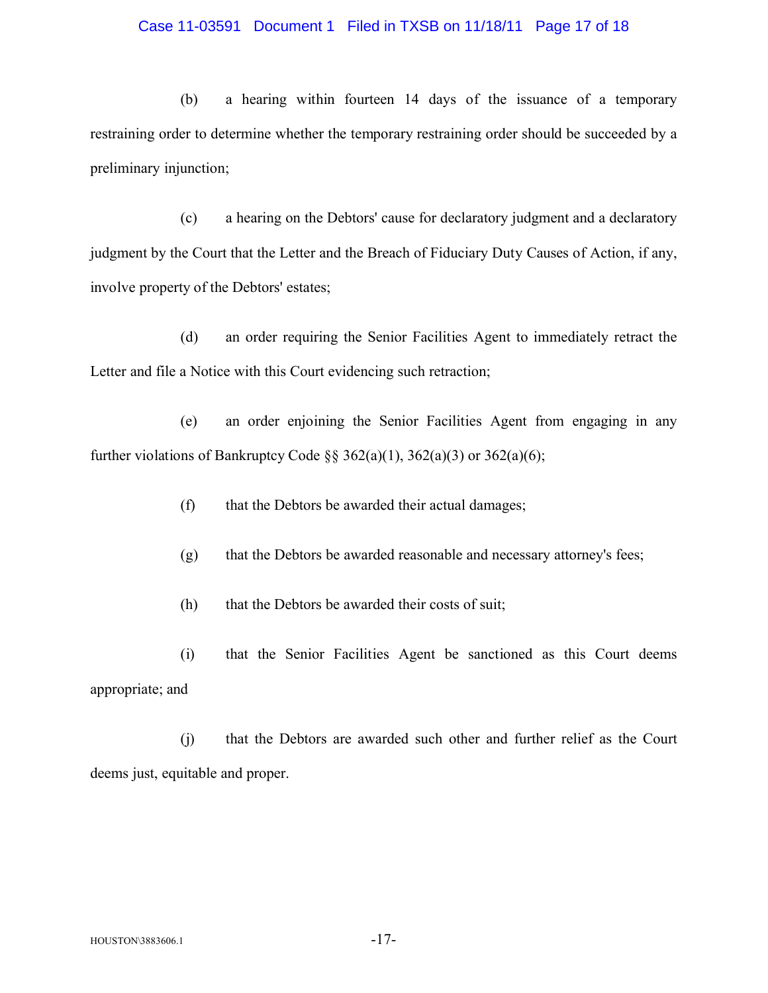### Case 11-03591 Document 1 Filed in TXSB on 11/18/11 Page 17 of 18

(b) a hearing within fourteen 14 days of the issuance of a temporary restraining order to determine whether the temporary restraining order should be succeeded by a preliminary injunction;

(c) a hearing on the Debtors' cause for declaratory judgment and a declaratory judgment by the Court that the Letter and the Breach of Fiduciary Duty Causes of Action, if any, involve property of the Debtors' estates;

(d) an order requiring the Senior Facilities Agent to immediately retract the Letter and file a Notice with this Court evidencing such retraction;

(e) an order enjoining the Senior Facilities Agent from engaging in any further violations of Bankruptcy Code  $\S$ § 362(a)(1), 362(a)(3) or 362(a)(6);

- (f) that the Debtors be awarded their actual damages;
- (g) that the Debtors be awarded reasonable and necessary attorney's fees;
- (h) that the Debtors be awarded their costs of suit;
- (i) that the Senior Facilities Agent be sanctioned as this Court deems appropriate; and

(j) that the Debtors are awarded such other and further relief as the Court deems just, equitable and proper.